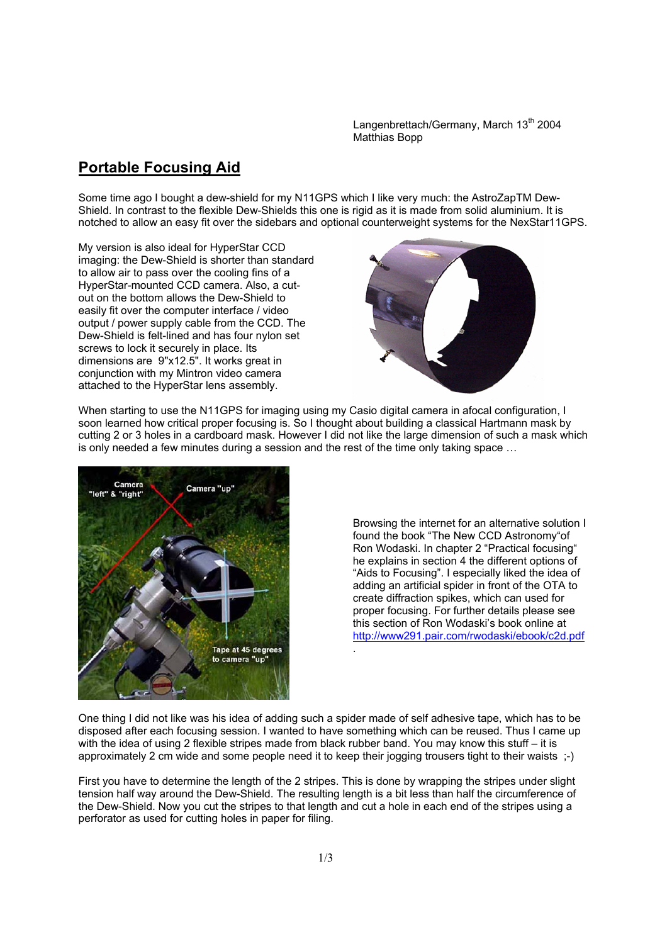Langenbrettach/Germany, March 13<sup>th</sup> 2004 Matthias Bopp

## **Portable Focusing Aid**

Some time ago I bought a dew-shield for my N11GPS which I like very much: the AstroZapTM Dew-Shield. In contrast to the flexible Dew-Shields this one is rigid as it is made from solid aluminium. It is notched to allow an easy fit over the sidebars and optional counterweight systems for the NexStar11GPS.

My version is also ideal for HyperStar CCD imaging: the Dew-Shield is shorter than standard to allow air to pass over the cooling fins of a HyperStar-mounted CCD camera. Also, a cutout on the bottom allows the Dew-Shield to easily fit over the computer interface / video output / power supply cable from the CCD. The Dew-Shield is felt-lined and has four nylon set screws to lock it securely in place. Its dimensions are 9"x12.5". It works great in conjunction with my Mintron video camera attached to the HyperStar lens assembly.



When starting to use the N11GPS for imaging using my Casio digital camera in afocal configuration, I soon learned how critical proper focusing is. So I thought about building a classical Hartmann mask by cutting 2 or 3 holes in a cardboard mask. However I did not like the large dimension of such a mask which is only needed a few minutes during a session and the rest of the time only taking space …



Browsing the internet for an alternative solution I found the book "The New CCD Astronomy"of Ron Wodaski. In chapter 2 "Practical focusing" he explains in section 4 the different options of "Aids to Focusing". I especially liked the idea of adding an artificial spider in front of the OTA to create diffraction spikes, which can used for proper focusing. For further details please see this section of Ron Wodaski's book online at http://www291.pair.com/rwodaski/ebook/c2d.pdf

One thing I did not like was his idea of adding such a spider made of self adhesive tape, which has to be disposed after each focusing session. I wanted to have something which can be reused. Thus I came up with the idea of using 2 flexible stripes made from black rubber band. You may know this stuff – it is approximately 2 cm wide and some people need it to keep their jogging trousers tight to their waists ;-)

.

First you have to determine the length of the 2 stripes. This is done by wrapping the stripes under slight tension half way around the Dew-Shield. The resulting length is a bit less than half the circumference of the Dew-Shield. Now you cut the stripes to that length and cut a hole in each end of the stripes using a perforator as used for cutting holes in paper for filing.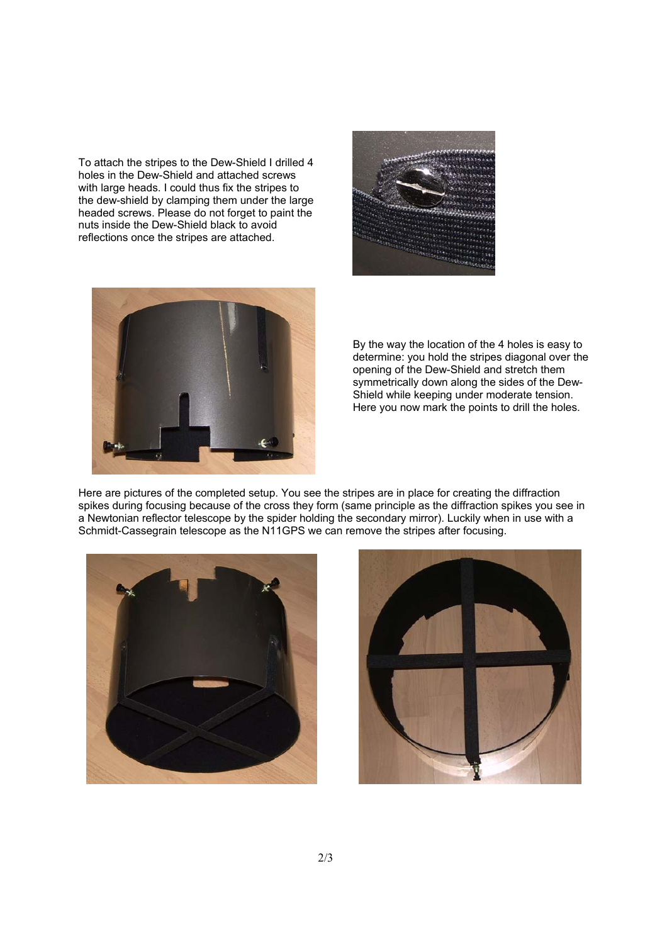To attach the stripes to the Dew-Shield I drilled 4 holes in the Dew-Shield and attached screws with large heads. I could thus fix the stripes to the dew-shield by clamping them under the large headed screws. Please do not forget to paint the nuts inside the Dew-Shield black to avoid reflections once the stripes are attached.





By the way the location of the 4 holes is easy to determine: you hold the stripes diagonal over the opening of the Dew-Shield and stretch them symmetrically down along the sides of the Dew-Shield while keeping under moderate tension. Here you now mark the points to drill the holes.

Here are pictures of the completed setup. You see the stripes are in place for creating the diffraction spikes during focusing because of the cross they form (same principle as the diffraction spikes you see in a Newtonian reflector telescope by the spider holding the secondary mirror). Luckily when in use with a Schmidt-Cassegrain telescope as the N11GPS we can remove the stripes after focusing.